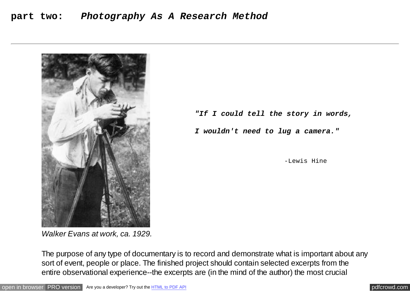## **part two:** *Photography As A Research Method*



*Walker Evans at work, ca. 1929.*

 *"If I could tell the story in words,* 

 *I wouldn't need to lug a camera."*

-Lewis Hine

The purpose of any type of documentary is to record and demonstrate what is important about any sort of event, people or place. The finished project should contain selected excerpts from the entire observational experience--the excerpts are (in the mind of the author) the most crucial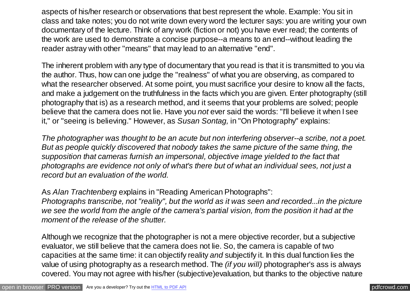aspects of his/her research or observations that best represent the whole. Example: You sit in class and take notes; you do not write down every word the lecturer says: you are writing your own documentary of the lecture. Think of any work (fiction or not) you have ever read; the contents of the work are used to demonstrate a concise purpose--a means to an end--without leading the reader astray with other "means" that may lead to an alternative "end".

The inherent problem with any type of documentary that you read is that it is transmitted to you via the author. Thus, how can one judge the "realness" of what you are observing, as compared to what the researcher observed. At some point, you must sacrifice your desire to know all the facts, and make a judgement on the truthfulness in the facts which you are given. Enter photography (still photography that is) as a research method, and it seems that your problems are solved; people believe that the camera does not lie. Have you *not* ever said the words: "I'll believe it when I see it," or "seeing is believing." However, as *Susan Sontag,* in "On Photography" explains:

*The photographer was thought to be an acute but non interfering observer--a scribe, not a poet. But as people quickly discovered that nobody takes the same picture of the same thing, the supposition that cameras furnish an impersonal, objective image yielded to the fact that photographs are evidence not only of what's there but of what an individual sees, not just a record but an evaluation of the world.*

As *Alan Trachtenberg* explains in "Reading American Photographs":

*Photographs transcribe, not "reality", but the world as it was seen and recorded...in the picture we see the world from the angle of the camera's partial vision, from the position it had at the moment of the release of the shutter.*

Although we recognize that the photographer is not a mere objective recorder, but a subjective evaluator, we still believe that the camera does not lie. So, the camera is capable of two capacities at the same time: it can objectify reality *and* subjectify it. In this dual function lies the value of using photography as a research method. The *(if you will)* photographer's ass is always covered. You may not agree with his/her (subjective)evaluation, but thanks to the objective nature